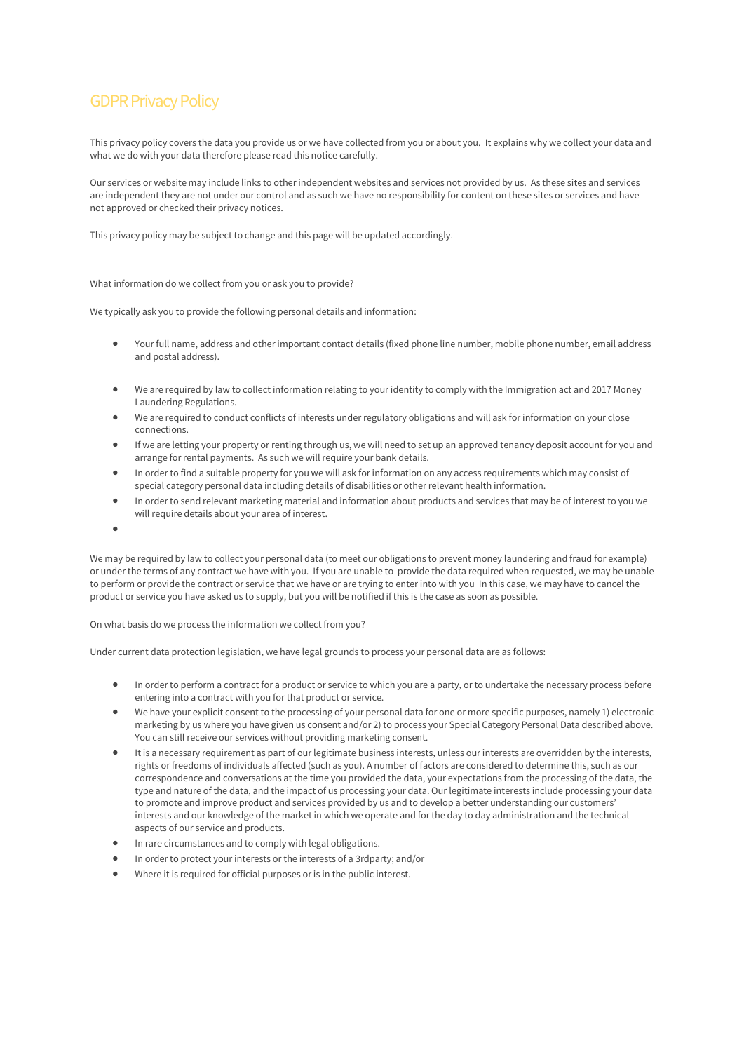# GDPR Privacy Policy

This privacy policy covers the data you provide us or we have collected from you or about you. It explains why we collect your data and what we do with your data therefore please read this notice carefully.

Our services or website may include links to other independent websites and services not provided by us. As these sites and services are independent they are not under our control and as such we have no responsibility for content on these sites or services and have not approved or checked their privacy notices.

This privacy policy may be subject to change and this page will be updated accordingly.

What information do we collect from you or ask you to provide?

We typically ask you to provide the following personal details and information:

- Your full name, address and other important contact details (fixed phone line number, mobile phone number, email address and postal address).
- We are required by law to collect information relating to your identity to comply with the Immigration act and 2017 Money Laundering Regulations.
- We are required to conduct conflicts of interests under regulatory obligations and will ask for information on your close connections.
- If we are letting your property or renting through us, we will need to set up an approved tenancy deposit account for you and arrange for rental payments. As such we will require your bank details.
- In order to find a suitable property for you we will ask for information on any access requirements which may consist of special category personal data including details of disabilities or other relevant health information.
- In order to send relevant marketing material and information about products and services that may be of interest to you we will require details about your area of interest.
- •

We may be required by law to collect your personal data (to meet our obligations to prevent money laundering and fraud for example) or under the terms of any contract we have with you. If you are unable to provide the data required when requested, we may be unable to perform or provide the contract or service that we have or are trying to enter into with you In this case, we may have to cancel the product or service you have asked us to supply, but you will be notified if this is the case as soon as possible.

On what basis do we process the information we collect from you?

Under current data protection legislation, we have legal grounds to process your personal data are as follows:

- In order to perform a contract for a product or service to which you are a party, or to undertake the necessary process before entering into a contract with you for that product or service.
- We have your explicit consent to the processing of your personal data for one or more specific purposes, namely 1) electronic marketing by us where you have given us consent and/or 2) to process your Special Category Personal Data described above. You can still receive our services without providing marketing consent.
- It is a necessary requirement as part of our legitimate business interests, unless our interests are overridden by the interests, rights or freedoms of individuals affected (such as you). A number of factors are considered to determine this, such as our correspondence and conversations at the time you provided the data, your expectations from the processing of the data, the type and nature of the data, and the impact of us processing your data. Our legitimate interests include processing your data to promote and improve product and services provided by us and to develop a better understanding our customers' interests and our knowledge of the market in which we operate and for the day to day administration and the technical aspects of our service and products.
- In rare circumstances and to comply with legal obligations.
- In order to protect your interests or the interests of a 3rdparty; and/or
- Where it is required for official purposes or is in the public interest.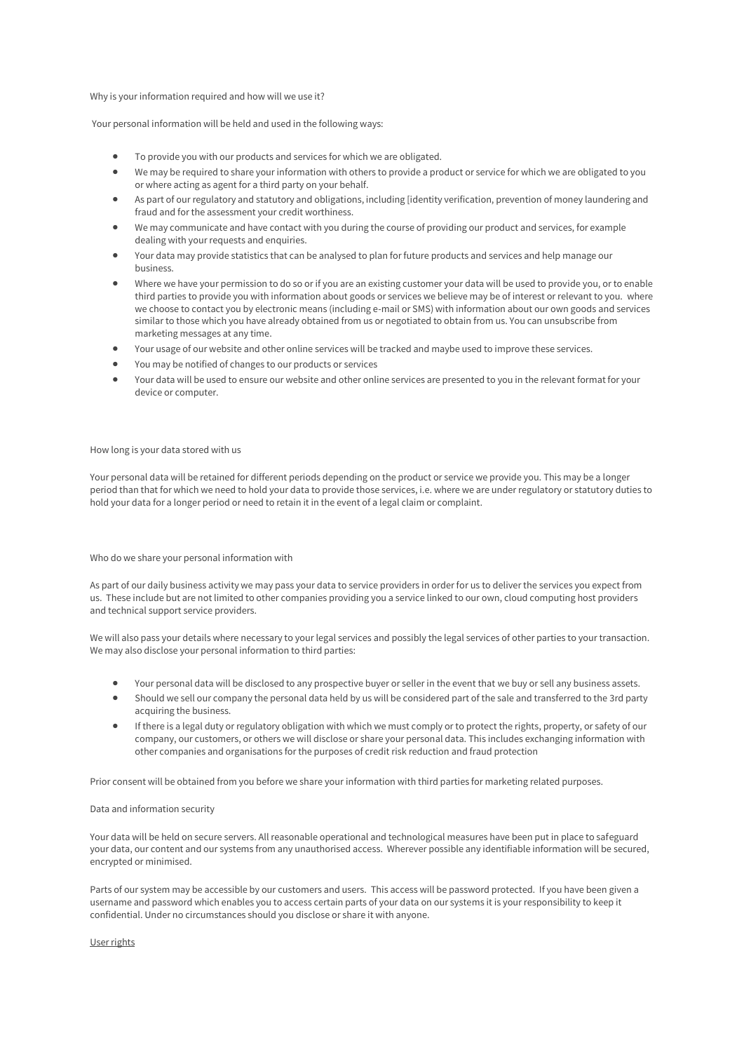Why is your information required and how will we use it?

Your personal information will be held and used in the following ways:

- To provide you with our products and services for which we are obligated.
- We may be required to share your information with others to provide a product or service for which we are obligated to you or where acting as agent for a third party on your behalf.
- As part of our regulatory and statutory and obligations, including [identity verification, prevention of money laundering and fraud and for the assessment your credit worthiness.
- We may communicate and have contact with you during the course of providing our product and services, for example dealing with your requests and enquiries.
- Your data may provide statistics that can be analysed to plan for future products and services and help manage our business.
- Where we have your permission to do so or if you are an existing customer your data will be used to provide you, or to enable third parties to provide you with information about goods or services we believe may be of interest or relevant to you. where we choose to contact you by electronic means (including e-mail or SMS) with information about our own goods and services similar to those which you have already obtained from us or negotiated to obtain from us. You can unsubscribe from marketing messages at any time.
- Your usage of our website and other online services will be tracked and maybe used to improve these services.
- You may be notified of changes to our products or services
- Your data will be used to ensure our website and other online services are presented to you in the relevant format for your device or computer.

### How long is your data stored with us

Your personal data will be retained for different periods depending on the product or service we provide you. This may be a longer period than that for which we need to hold your data to provide those services, i.e. where we are under regulatory or statutory duties to hold your data for a longer period or need to retain it in the event of a legal claim or complaint.

Who do we share your personal information with

As part of our daily business activity we may pass your data to service providers in order for us to deliver the services you expect from us. These include but are not limited to other companies providing you a service linked to our own, cloud computing host providers and technical support service providers.

We will also pass your details where necessary to your legal services and possibly the legal services of other parties to your transaction. We may also disclose your personal information to third parties:

- Your personal data will be disclosed to any prospective buyer or seller in the event that we buy or sell any business assets.
- Should we sell our company the personal data held by us will be considered part of the sale and transferred to the 3rd party acquiring the business.
- If there is a legal duty or regulatory obligation with which we must comply or to protect the rights, property, or safety of our company, our customers, or others we will disclose or share your personal data. This includes exchanging information with other companies and organisations for the purposes of credit risk reduction and fraud protection

Prior consent will be obtained from you before we share your information with third parties for marketing related purposes.

## Data and information security

Your data will be held on secure servers. All reasonable operational and technological measures have been put in place to safeguard your data, our content and our systems from any unauthorised access. Wherever possible any identifiable information will be secured, encrypted or minimised.

Parts of our system may be accessible by our customers and users. This access will be password protected. If you have been given a username and password which enables you to access certain parts of your data on our systems it is your responsibility to keep it confidential. Under no circumstances should you disclose or share it with anyone.

User rights